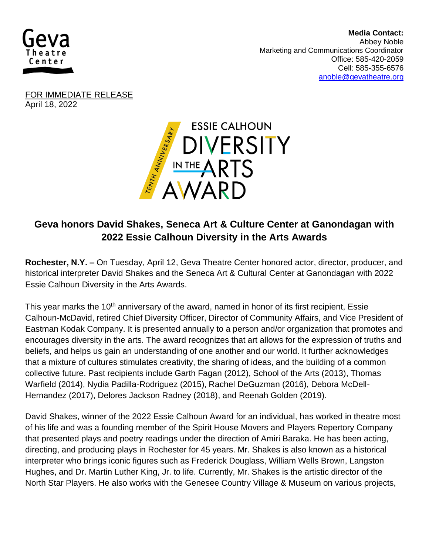

 **Media Contact:**  Abbey Noble Marketing and Communications Coordinator Office: 585-420-2059 Cell: 585-355-6576 [anoble@gevatheatre.org](mailto:anoble@gevatheatre.org)

FOR IMMEDIATE RELEASE April 18, 2022



## **Geva honors David Shakes, Seneca Art & Culture Center at Ganondagan with 2022 Essie Calhoun Diversity in the Arts Awards**

**Rochester, N.Y. –** On Tuesday, April 12, Geva Theatre Center honored actor, director, producer, and historical interpreter David Shakes and the Seneca Art & Cultural Center at Ganondagan with 2022 Essie Calhoun Diversity in the Arts Awards.

This year marks the 10<sup>th</sup> anniversary of the award, named in honor of its first recipient, Essie Calhoun-McDavid, retired Chief Diversity Officer, Director of Community Affairs, and Vice President of Eastman Kodak Company. It is presented annually to a person and/or organization that promotes and encourages diversity in the arts. The award recognizes that art allows for the expression of truths and beliefs, and helps us gain an understanding of one another and our world. It further acknowledges that a mixture of cultures stimulates creativity, the sharing of ideas, and the building of a common collective future. Past recipients include Garth Fagan (2012), School of the Arts (2013), Thomas Warfield (2014), Nydia Padilla-Rodriguez (2015), Rachel DeGuzman (2016), Debora McDell-Hernandez (2017), Delores Jackson Radney (2018), and Reenah Golden (2019).

David Shakes, winner of the 2022 Essie Calhoun Award for an individual, has worked in theatre most of his life and was a founding member of the Spirit House Movers and Players Repertory Company that presented plays and poetry readings under the direction of Amiri Baraka. He has been acting, directing, and producing plays in Rochester for 45 years. Mr. Shakes is also known as a historical interpreter who brings iconic figures such as Frederick Douglass, William Wells Brown, Langston Hughes, and Dr. Martin Luther King, Jr. to life. Currently, Mr. Shakes is the artistic director of the North Star Players. He also works with the Genesee Country Village & Museum on various projects,